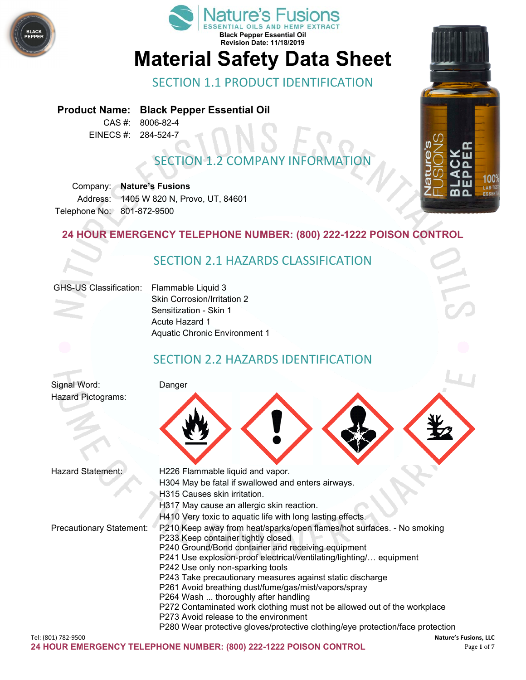



# **Material Safety Data Sheet**

#### SECTION 1.1 PRODUCT IDENTIFICATION

#### **Product Name: Black Pepper Essential Oil**

CAS #: 8006-82-4 EINECS #: 284-524-7

## SECTION 1.2 COMPANY INFORMATION

Company: **Nature's Fusions** Address: 1405 W 820 N, Provo, UT, 84601 Telephone No: 801-872-9500

#### **24 HOUR EMERGENCY TELEPHONE NUMBER: (800) 222-1222 POISON CONTROL**

#### SECTION 2.1 HAZARDS CLASSIFICATION

#### GHS-US Classification: Flammable Liquid 3

Skin Corrosion/Irritation 2 Sensitization - Skin 1 Acute Hazard 1 Aquatic Chronic Environment 1

#### SECTION 2.2 HAZARDS IDENTIFICATION

Signal Word: Danger Hazard Pictograms:



| <b>Hazard Statement:</b>        | H226 Flammable liquid and vapor.                                               |
|---------------------------------|--------------------------------------------------------------------------------|
|                                 | H304 May be fatal if swallowed and enters airways.                             |
|                                 | H315 Causes skin irritation.                                                   |
|                                 | H317 May cause an allergic skin reaction.                                      |
|                                 | H410 Very toxic to aquatic life with long lasting effects.                     |
| <b>Precautionary Statement:</b> | P210 Keep away from heat/sparks/open flames/hot surfaces. - No smoking         |
|                                 | P233 Keep container tightly closed                                             |
|                                 | P240 Ground/Bond container and receiving equipment                             |
|                                 | P241 Use explosion-proof electrical/ventilating/lighting/ equipment            |
|                                 | P242 Use only non-sparking tools                                               |
|                                 | P243 Take precautionary measures against static discharge                      |
|                                 | P261 Avoid breathing dust/fume/gas/mist/vapors/spray                           |
|                                 | P264 Wash  thoroughly after handling                                           |
|                                 | P272 Contaminated work clothing must not be allowed out of the workplace       |
|                                 | P273 Avoid release to the environment                                          |
|                                 | P280 Wear protective gloves/protective clothing/eye protection/face protection |

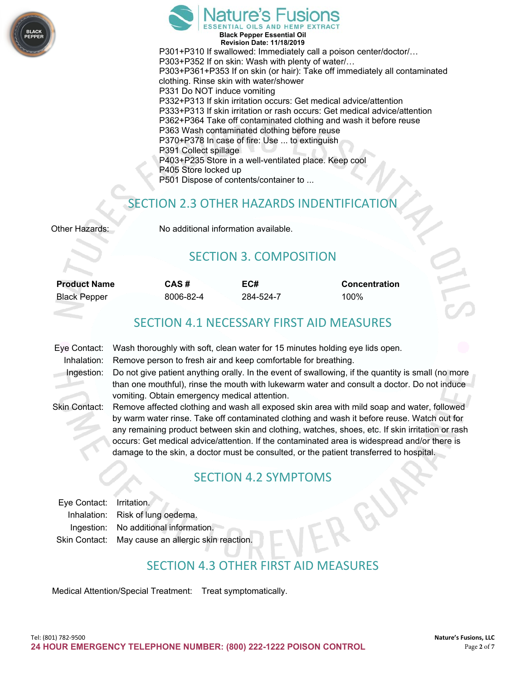



**Black Pepper Essential Oil Revision Date: 11/18/2019** P301+P310 If swallowed: Immediately call a poison center/doctor/… P303+P352 If on skin: Wash with plenty of water/… P303+P361+P353 If on skin (or hair): Take off immediately all contaminated clothing. Rinse skin with water/shower P331 Do NOT induce vomiting P332+P313 If skin irritation occurs: Get medical advice/attention P333+P313 If skin irritation or rash occurs: Get medical advice/attention P362+P364 Take off contaminated clothing and wash it before reuse P363 Wash contaminated clothing before reuse P370+P378 In case of fire: Use ... to extinguish P391 Collect spillage P403+P235 Store in a well-ventilated place. Keep cool P405 Store locked up P501 Dispose of contents/container to ...

#### SECTION 2.3 OTHER HAZARDS INDENTIFIC

| Other Hazards: |  |
|----------------|--|
|----------------|--|

No additional information available.

#### SECTION 3. COMPOSITION

| <b>Product Name</b> | CAS#      | EC#       | <b>Concentration</b> |
|---------------------|-----------|-----------|----------------------|
| Black Pepper        | 8006-82-4 | 284-524-7 | 100%                 |

#### SECTION 4.1 NECESSARY FIRST AID MEASURES

| Eye Contact:  | Wash thoroughly with soft, clean water for 15 minutes holding eye lids open.                       |
|---------------|----------------------------------------------------------------------------------------------------|
| Inhalation:   | Remove person to fresh air and keep comfortable for breathing.                                     |
| Ingestion:    | Do not give patient anything orally. In the event of swallowing, if the quantity is small (no more |
|               | than one mouthful), rinse the mouth with lukewarm water and consult a doctor. Do not induce        |
|               | vomiting. Obtain emergency medical attention.                                                      |
| Skin Contact: | Remove affected clothing and wash all exposed skin area with mild soap and water, followed         |
|               | by warm water rinse. Take off contaminated clothing and wash it before reuse. Watch out for        |
|               | any remaining product between skin and clothing, watches, shoes, etc. If skin irritation or rash   |
|               | occurs: Get medical advice/attention. If the contaminated area is widespread and/or there is       |

#### damage to the skin, a doctor must be consulted, or the patient transferred to hospital.

#### SECTION 4.2 SYMPTOMS

| Eye Contact: Irritation. |                                                    |
|--------------------------|----------------------------------------------------|
|                          | Inhalation: Risk of lung oedema.                   |
|                          | Ingestion: No additional information.              |
|                          | Skin Contact: May cause an allergic skin reaction. |

### SECTION 4.3 OTHER FIRST AID MEASURES

Medical Attention/Special Treatment: Treat symptomatically.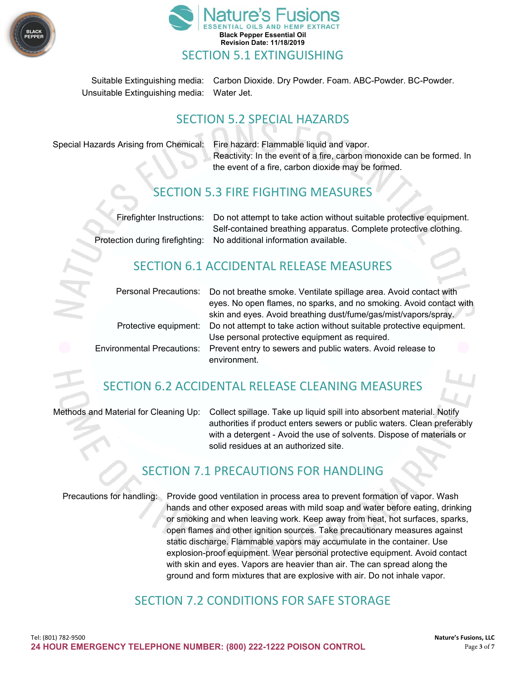



Suitable Extinguishing media: Carbon Dioxide. Dry Powder. Foam. ABC-Powder. BC-Powder. Unsuitable Extinguishing media: Water Jet.

#### SECTION 5.2 SPECIAL HAZARDS

Special Hazards Arising from Chemical: Fire hazard: Flammable liquid and vapor. Reactivity: In the event of a fire, carbon monoxide can be formed. In the event of a fire, carbon dioxide may be formed.

#### SECTION 5.3 FIRE FIGHTING MEASURES

| Firefighter Instructions: Do not attempt to take action without suitable protective equipment. |
|------------------------------------------------------------------------------------------------|
| Self-contained breathing apparatus. Complete protective clothing.                              |
| Protection during firefighting: No additional information available.                           |

#### SECTION 6.1 ACCIDENTAL RELEASE MEASURES

|                       | Personal Precautions: Do not breathe smoke. Ventilate spillage area. Avoid contact with<br>eyes. No open flames, no sparks, and no smoking. Avoid contact with |
|-----------------------|----------------------------------------------------------------------------------------------------------------------------------------------------------------|
|                       | skin and eyes. Avoid breathing dust/fume/gas/mist/vapors/spray.                                                                                                |
| Protective equipment: | Do not attempt to take action without suitable protective equipment.                                                                                           |
|                       | Use personal protective equipment as required.                                                                                                                 |
|                       | Environmental Precautions: Prevent entry to sewers and public waters. Avoid release to                                                                         |
|                       | environment.                                                                                                                                                   |
|                       |                                                                                                                                                                |

### SECTION 6.2 ACCIDENTAL RELEASE CLEANING MEASURES

Methods and Material for Cleaning Up: Collect spillage. Take up liquid spill into absorbent material. Notify authorities if product enters sewers or public waters. Clean preferably with a detergent - Avoid the use of solvents. Dispose of materials or solid residues at an authorized site.

#### SECTION 7.1 PRECAUTIONS FOR HANDLING

Precautions for handling: Provide good ventilation in process area to prevent formation of vapor. Wash hands and other exposed areas with mild soap and water before eating, drinking or smoking and when leaving work. Keep away from heat, hot surfaces, sparks, open flames and other ignition sources. Take precautionary measures against static discharge. Flammable vapors may accumulate in the container. Use explosion-proof equipment. Wear personal protective equipment. Avoid contact with skin and eyes. Vapors are heavier than air. The can spread along the ground and form mixtures that are explosive with air. Do not inhale vapor.

#### SECTION 7.2 CONDITIONS FOR SAFE STORAGE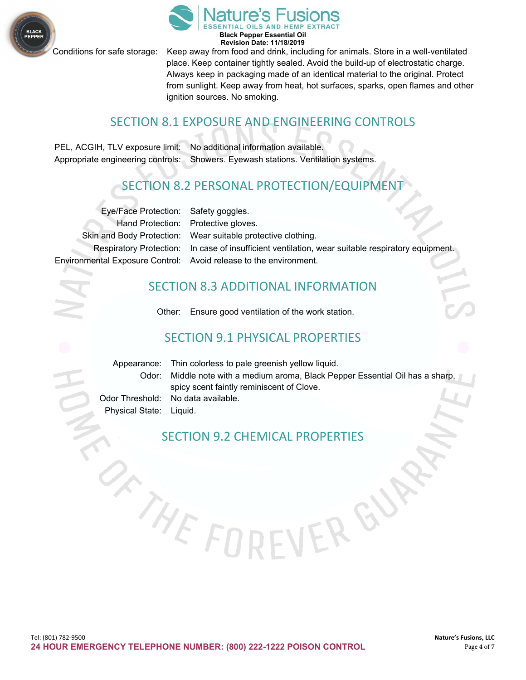

Conditions for safe storage: Keep away from food and drink, including for animals. Store in a well-ventilated place. Keep container tightly sealed. Avoid the build-up of electrostatic charge. Always keep in packaging made of an identical material to the original. Protect from sunlight. Keep away from heat, hot surfaces, sparks, open flames and other ignition sources. No smoking.

#### SECTION 8.1 EXPOSURE AND ENGINEERING CONTROLS

PEL, ACGIH, TLV exposure limit: No additional information available. Appropriate engineering controls: Showers. Eyewash stations. Ventilation systems.

# SECTION 8.2 PERSONAL PROTECTION/EQUIPMENT

| Eye/Face Protection: Safety goggles. |                                                                                                   |
|--------------------------------------|---------------------------------------------------------------------------------------------------|
|                                      | Hand Protection: Protective gloves.                                                               |
|                                      | Skin and Body Protection: Wear suitable protective clothing.                                      |
|                                      | Respiratory Protection: In case of insufficient ventilation, wear suitable respiratory equipment. |
|                                      | Environmental Exposure Control: Avoid release to the environment.                                 |

#### SECTION 8.3 ADDITIONAL INFORMATION

Other: Ensure good ventilation of the work station.

#### SECTION 9.1 PHYSICAL PROPERTIES

|                         | Appearance: Thin colorless to pale greenish yellow liquid.                     |
|-------------------------|--------------------------------------------------------------------------------|
|                         | Odor: Middle note with a medium aroma, Black Pepper Essential Oil has a sharp, |
|                         | spicy scent faintly reminiscent of Clove.                                      |
|                         | Odor Threshold: No data available.                                             |
| Physical State: Liquid. |                                                                                |

ER G

#### SECTION 9.2 CHEMICAL PROPERTIES

THEF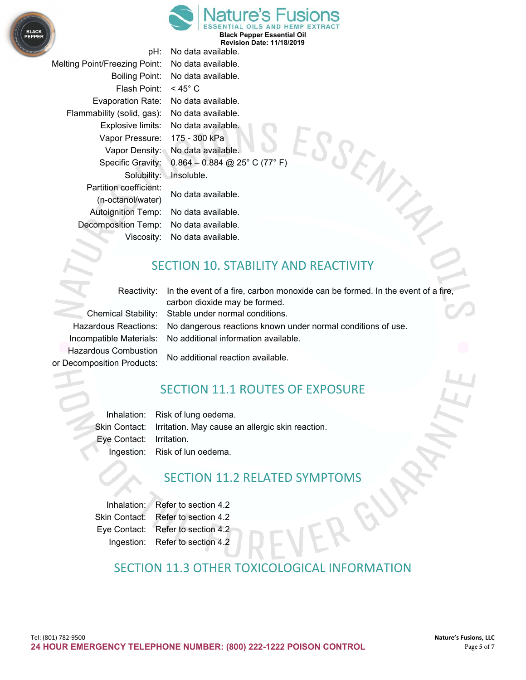



Melting Point/Freezing Point: No data available. Flash Point: < 45° C Evaporation Rate: No data available. Flammability (solid, gas): No data available. Vapor Pressure: 175 - 300 kPa Solubility: Insoluble. Partition coefficient: No data available. (n-octanol/water) Autoignition Temp: No data available. Decomposition Temp: No data available.

pH: No data available. Boiling Point: No data available. ESSENT Explosive limits: No data available. Vapor Density: No data available. Specific Gravity: 0.864 – 0.884 @ 25° C (77° F)

Viscosity: No data available.

#### SECTION 10. STABILITY AND REACTIVITY

Hazardous Combustion No additional reaction available. or Decomposition Products:

Reactivity: In the event of a fire, carbon monoxide can be formed. In the event of a fire, carbon dioxide may be formed. Chemical Stability: Stable under normal conditions. Hazardous Reactions: No dangerous reactions known under normal conditions of use. Incompatible Materials: No additional information available.

### SECTION 11.1 ROUTES OF EXPOSURE

Inhalation: Risk of lung oedema. Skin Contact: Irritation. May cause an allergic skin reaction. Eye Contact: Irritation. Ingestion: Risk of lun oedema.

### SECTION 11.2 RELATED SYMPTOMS

Inhalation: Refer to section 4.2 Skin Contact: Refer to section 4.2 Eye Contact: Refer to section 4.2 Ingestion: Refer to section 4.2

#### SECTION 11.3 OTHER TOXICOLOGICAL INFORMATION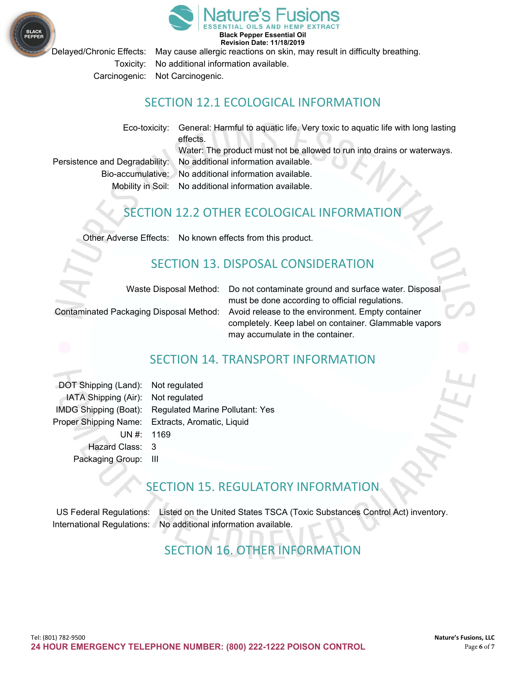

Delayed/Chronic Effects: May cause allergic reactions on skin, may result in difficulty breathing.

Toxicity: No additional information available.

Carcinogenic: Not Carcinogenic.

#### SECTION 12.1 ECOLOGICAL INFORMATION

Eco-toxicity: General: Harmful to aquatic life. Very toxic to aquatic life with long lasting

effects. Water: The product must not be allowed to run into drains or waterways.

Persistence and Degradability: No additional information available. Bio-accumulative: No additional information available.

Mobility in Soil: No additional information available.

#### SECTION 12.2 OTHER ECOLOGICAL INFORMATION

Other Adverse Effects: No known effects from this product.

#### SECTION 13. DISPOSAL CONSIDERATION

Waste Disposal Method: Do not contaminate ground and surface water. Disposal must be done according to official regulations. Contaminated Packaging Disposal Method: Avoid release to the environment. Empty container completely. Keep label on container. Glammable vapors may accumulate in the container.



#### SECTION 14. TRANSPORT INFORMATION

DOT Shipping (Land): Not regulated IATA Shipping (Air): Not regulated Hazard Class: 3 Packaging Group: III

IMDG Shipping (Boat): Regulated Marine Pollutant: Yes Proper Shipping Name: Extracts, Aromatic, Liquid UN #: 1169

#### SECTION 15. REGULATORY INFORMATION

US Federal Regulations: Listed on the United States TSCA (Toxic Substances Control Act) inventory. International Regulations: No additional information available.

# SECTION 16. OTHER INFORMATION